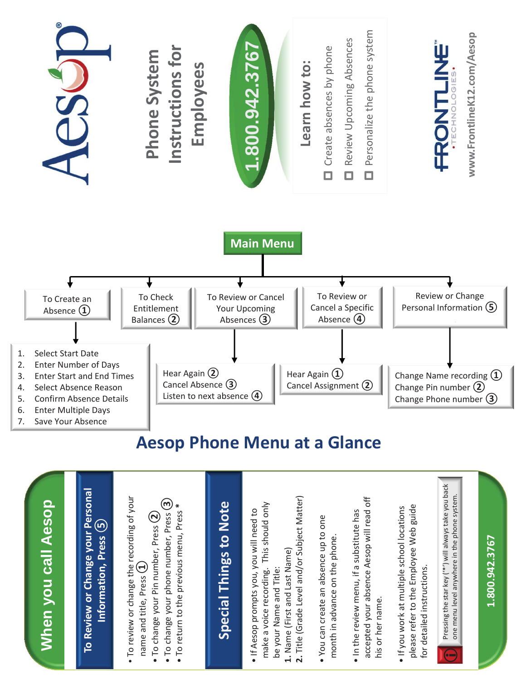